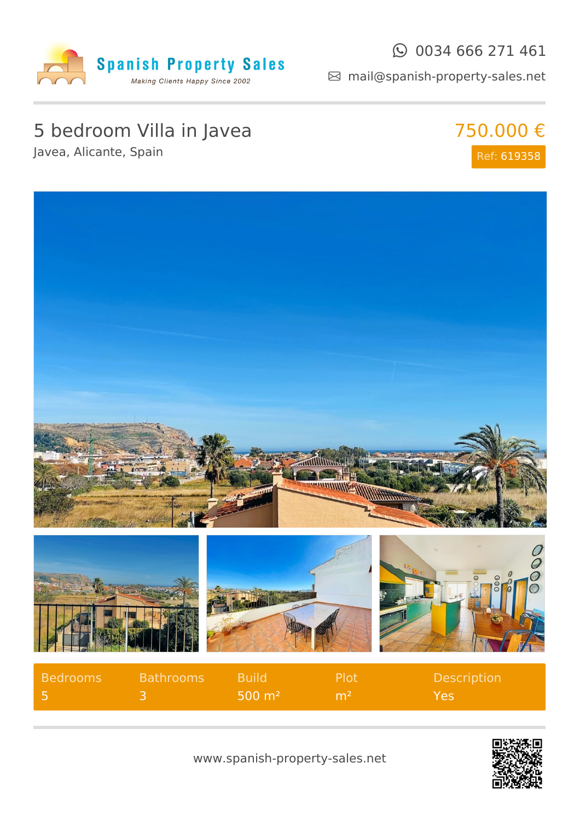

#### $\odot$  0034 666 271 461

mail@spanish-property-sales.net

## 5 bedroom Villa in Javea

Javea, Alicante, Spain







| <b>Bedrooms</b> | <b>Bathrooms</b> Build |                           | <b>Plot</b>    | <b>Description</b> |
|-----------------|------------------------|---------------------------|----------------|--------------------|
|                 |                        | $\sim$ 500 m <sup>2</sup> | m <sup>2</sup> | Yes.               |



www.spanish-property-sales.net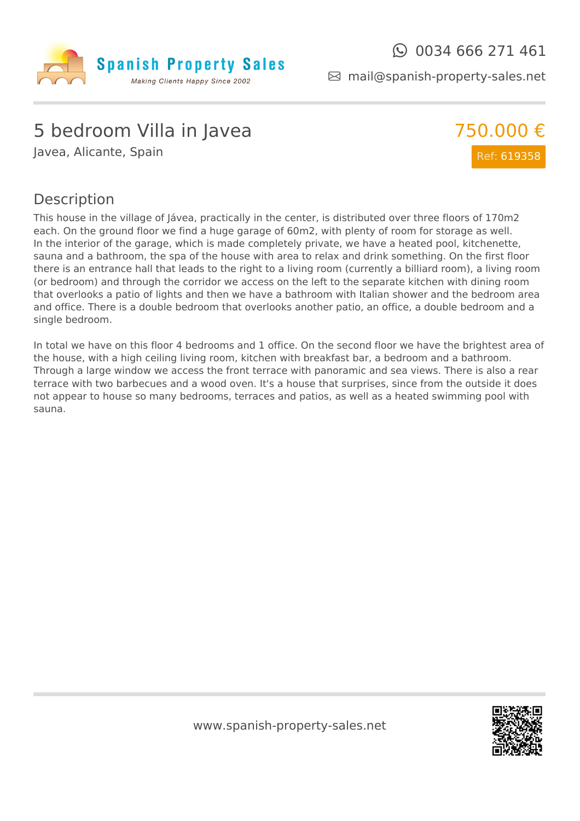

mail@spanish-property-sales.net

### 5 bedroom Villa in Javea

Javea, Alicante, Spain



#### Description

This house in the village of Jávea, practically in the center, is distributed over three floors of 170m2 each. On the ground floor we find a huge garage of 60m2, with plenty of room for storage as well. In the interior of the garage, which is made completely private, we have a heated pool, kitchenette, sauna and a bathroom, the spa of the house with area to relax and drink something. On the first floor there is an entrance hall that leads to the right to a living room (currently a billiard room), a living room (or bedroom) and through the corridor we access on the left to the separate kitchen with dining room that overlooks a patio of lights and then we have a bathroom with Italian shower and the bedroom area and office. There is a double bedroom that overlooks another patio, an office, a double bedroom and a single bedroom.

In total we have on this floor 4 bedrooms and 1 office. On the second floor we have the brightest area of the house, with a high ceiling living room, kitchen with breakfast bar, a bedroom and a bathroom. Through a large window we access the front terrace with panoramic and sea views. There is also a rear terrace with two barbecues and a wood oven. It's a house that surprises, since from the outside it does not appear to house so many bedrooms, terraces and patios, as well as a heated swimming pool with sauna.